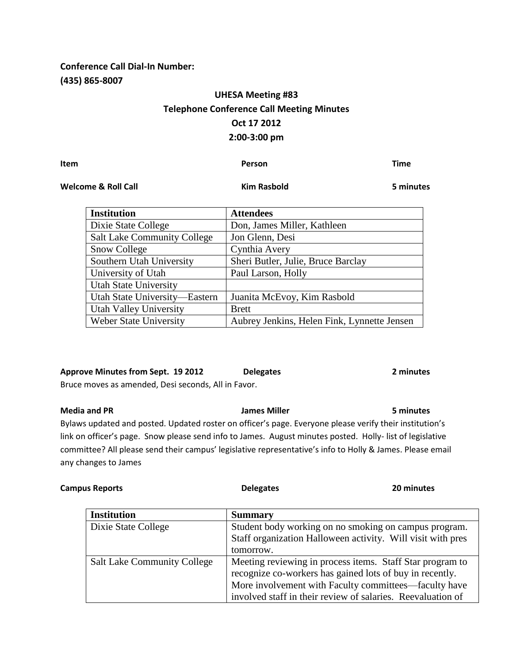### **Conference Call Dial-In Number: (435) 865-8007**

## **UHESA Meeting #83 Telephone Conference Call Meeting Minutes Oct 17 2012 2:00-3:00 pm**

**Item Person Time**

**Welcome & Roll Call Kim Rasbold 5 minutes** 

| <b>Institution</b>                 | <b>Attendees</b>                            |
|------------------------------------|---------------------------------------------|
| Dixie State College                | Don, James Miller, Kathleen                 |
| <b>Salt Lake Community College</b> | Jon Glenn, Desi                             |
| <b>Snow College</b>                | Cynthia Avery                               |
| Southern Utah University           | Sheri Butler, Julie, Bruce Barclay          |
| University of Utah                 | Paul Larson, Holly                          |
| <b>Utah State University</b>       |                                             |
| Utah State University-Eastern      | Juanita McEvoy, Kim Rasbold                 |
| <b>Utah Valley University</b>      | <b>Brett</b>                                |
| <b>Weber State University</b>      | Aubrey Jenkins, Helen Fink, Lynnette Jensen |

# **Approve Minutes from Sept. 19 2012 Delegates 2 minutes**

Bruce moves as amended, Desi seconds, All in Favor.

**Media and PR James Miller 5 minutes** Bylaws updated and posted. Updated roster on officer's page. Everyone please verify their institution's link on officer's page. Snow please send info to James. August minutes posted. Holly- list of legislative committee? All please send their campus' legislative representative's info to Holly & James. Please email any changes to James

| <b>Campus Reports</b> | <b>Delegates</b> | 20 minutes |
|-----------------------|------------------|------------|
|                       |                  |            |

| <b>Institution</b>                 | <b>Summary</b>                                              |
|------------------------------------|-------------------------------------------------------------|
| Dixie State College                | Student body working on no smoking on campus program.       |
|                                    | Staff organization Halloween activity. Will visit with pres |
|                                    | tomorrow.                                                   |
| <b>Salt Lake Community College</b> | Meeting reviewing in process items. Staff Star program to   |
|                                    | recognize co-workers has gained lots of buy in recently.    |
|                                    | More involvement with Faculty committees—faculty have       |
|                                    | involved staff in their review of salaries. Reevaluation of |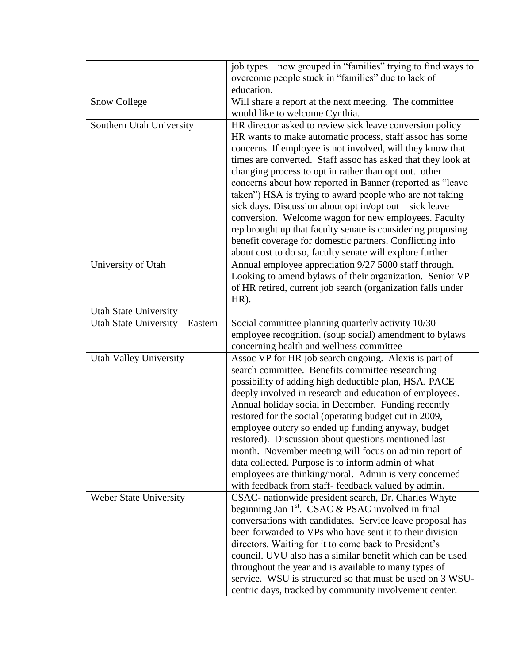|                               | job types—now grouped in "families" trying to find ways to                                                            |  |  |
|-------------------------------|-----------------------------------------------------------------------------------------------------------------------|--|--|
|                               | overcome people stuck in "families" due to lack of                                                                    |  |  |
|                               | education.                                                                                                            |  |  |
| <b>Snow College</b>           | Will share a report at the next meeting. The committee                                                                |  |  |
|                               | would like to welcome Cynthia.                                                                                        |  |  |
| Southern Utah University      | HR director asked to review sick leave conversion policy—                                                             |  |  |
|                               | HR wants to make automatic process, staff assoc has some                                                              |  |  |
|                               | concerns. If employee is not involved, will they know that                                                            |  |  |
|                               | times are converted. Staff assoc has asked that they look at                                                          |  |  |
|                               | changing process to opt in rather than opt out. other                                                                 |  |  |
|                               | concerns about how reported in Banner (reported as "leave                                                             |  |  |
|                               | taken") HSA is trying to award people who are not taking                                                              |  |  |
|                               | sick days. Discussion about opt in/opt out—sick leave                                                                 |  |  |
|                               | conversion. Welcome wagon for new employees. Faculty                                                                  |  |  |
|                               | rep brought up that faculty senate is considering proposing                                                           |  |  |
|                               | benefit coverage for domestic partners. Conflicting info                                                              |  |  |
|                               | about cost to do so, faculty senate will explore further                                                              |  |  |
| University of Utah            | Annual employee appreciation 9/27 5000 staff through.<br>Looking to amend bylaws of their organization. Senior VP     |  |  |
|                               | of HR retired, current job search (organization falls under                                                           |  |  |
|                               | HR).                                                                                                                  |  |  |
| <b>Utah State University</b>  |                                                                                                                       |  |  |
| Utah State University-Eastern | Social committee planning quarterly activity 10/30                                                                    |  |  |
|                               | employee recognition. (soup social) amendment to bylaws                                                               |  |  |
|                               | concerning health and wellness committee                                                                              |  |  |
| <b>Utah Valley University</b> | Assoc VP for HR job search ongoing. Alexis is part of                                                                 |  |  |
|                               | search committee. Benefits committee researching                                                                      |  |  |
|                               | possibility of adding high deductible plan, HSA. PACE                                                                 |  |  |
|                               | deeply involved in research and education of employees.                                                               |  |  |
|                               | Annual holiday social in December. Funding recently                                                                   |  |  |
|                               | restored for the social (operating budget cut in 2009,                                                                |  |  |
|                               | employee outcry so ended up funding anyway, budget                                                                    |  |  |
|                               | restored). Discussion about questions mentioned last                                                                  |  |  |
|                               | month. November meeting will focus on admin report of                                                                 |  |  |
|                               | data collected. Purpose is to inform admin of what                                                                    |  |  |
|                               | employees are thinking/moral. Admin is very concerned                                                                 |  |  |
|                               | with feedback from staff- feedback valued by admin.                                                                   |  |  |
| Weber State University        | CSAC- nationwide president search, Dr. Charles Whyte<br>beginning Jan 1 <sup>st</sup> . CSAC & PSAC involved in final |  |  |
|                               | conversations with candidates. Service leave proposal has                                                             |  |  |
|                               | been forwarded to VPs who have sent it to their division                                                              |  |  |
|                               | directors. Waiting for it to come back to President's                                                                 |  |  |
|                               | council. UVU also has a similar benefit which can be used                                                             |  |  |
|                               | throughout the year and is available to many types of                                                                 |  |  |
|                               | service. WSU is structured so that must be used on 3 WSU-                                                             |  |  |
|                               | centric days, tracked by community involvement center.                                                                |  |  |